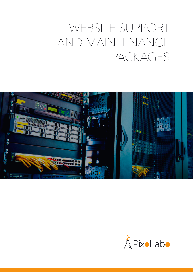# WEBSITE SUPPORT AND MAINTENANCE PACKAGES



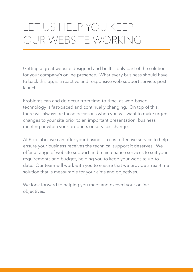## LET US HELP YOU KEEP OUR WEBSITE WORKING

Getting a great website designed and built is only part of the solution for your company's online presence. What every business should have to back this up, is a reactive and responsive web support service, post launch.

Problems can and do occur from time-to-time, as web-based technology is fast-paced and continually changing. On top of this, there will always be those occasions when you will want to make urgent changes to your site prior to an important presentation, business meeting or when your products or services change.

At PixoLabo, we can offer your business a cost effective service to help ensure your business receives the technical support it deserves. We offer a range of website support and maintenance services to suit your requirements and budget, helping you to keep your website up-todate. Our team will work with you to ensure that we provide a real-time solution that is measurable for your aims and objectives.

We look forward to helping you meet and exceed your online objectives.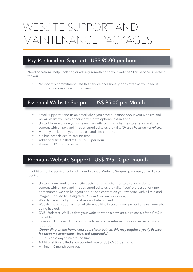## WEBSITE SUPPORT AND MAINTENANCE PACKAGES

### Pay-Per Incident Support - US\$ 95.00 per hour

Need occasional help updating or adding something to your website? This service is perfect for you.

- No monthly commitment. Use this service occasionally or as often as you need it.
- 5-8 business days turn around time.

#### Essential Website Support - US\$ 95.00 per Month

- Email Support: Send us an email when you have questions about your website and we will assist you with either written or telephone instructions.
- Up to 1 hour work on your site each month for minor changes to existing website content with all text and images supplied to us digitally. (*Unused hours do not rollover*).
- Monthly back-up of your database and site content.
- 5-7 business days turn around time.
- Additional time billed at US\$ 75.00 per hour.
- Minimum 12 month contract

#### Premium Website Support - US\$ 195.00 per month

In addition to the services offered in our Essential Website Support package you will also receive:

- Up to 2 hours work on your site each month for changes to existing website content with all text and images supplied to us digitally. If you're pressed for time or resources, we can help you add or edit content on your website, with all text and images supplied to us digitally (*Unused hours do not rollover*).
- Weekly back-up of your database and site content.
- Weekly security audit & scan of site-wide files to secure and protect against your site being hacked.
- CMS Updates: We'll update your website when a new, stable release, of the CMS is available.
- Extension Updates: Updates to the latest stable release of supported extensions if required.

(*Depending on the framework your site is built in, this may require a yearly license fee for some extensions - invoiced separately.*)

- 3-5 business days turn around time.
- Additional time billed at discounted rate of US\$ 65.00 per hour.
- Minimum 6 month contract.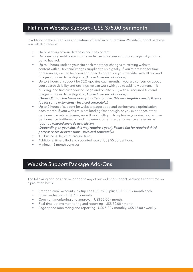### Platinum Website Support - US\$ 375.00 per month

In addition to the all services and features offered in our Premium Website Support package you will also receive:

- Daily back-up of your database and site content.
- Daily security audit & scan of site-wide files to secure and protect against your site being hacked.
- Up to 4 hours work on your site each month for changes to existing website content with all text and images supplied to us digitally. If you're pressed for time or resources, we can help you add or edit content on your website, with all text and images supplied to us digitally (*Unused hours do not rollover*).
- Up to 2 hours of support for SEO updates each month. If you are concerned about your search visibility and rankings we can work with you to add new content, link building, and fine-tune your on-page and on-site SEO, with all required text and images supplied to us digitally (*Unused hours do not rollover*). (*Depending on the framework your site is built in, this may require a yearly license fee for some extensions - invoiced separately.*)
- Up to 2 hours of support for website pagespeed and performance optimization each month. If your website is not loading fast enough, or you experience other performance related issues, we will work with you to optimize your images, remove performance bottlenecks, and implement other site performance strategies as required (*Unused hours do not rollover*).

(*Depending on your site, this may require a yearly license fee for required thirdparty services or extensions - invoiced separately.*)

- 1-3 business days turn around time.
- Additional time billed at discounted rate of US\$ 55.00 per hour.
- Minimum 6 month contract

### Website Support Package Add-Ons

The following add-ons can be added to any of our website support packages at any time on a pro-rated basis.

- Branded email accounts Setup Fee US\$ 75.00 plus US\$ 15.00 / month each.
- Spam protection US\$ 7.50 / month
- Comment monitoring and approval US\$ 35.00 / month.
- Real-time uptime monitoring and reporting US\$ 50.00 / month
- Page speed monitoring and reporting US\$ 5.00 / monthly, US\$ 15.00 / weekly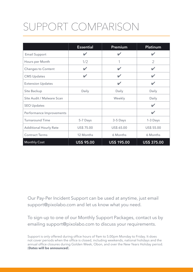## SUPPORT COMPARISON

|                               | <b>Essential</b>  | Premium                  | Platinum                |
|-------------------------------|-------------------|--------------------------|-------------------------|
| <b>Email Support</b>          | $\mathbf{v}$      | $\overline{\mathbf{v}}$  | $\overline{\mathbf{v}}$ |
| Hours per Month               | 1/2               | 1                        | $\overline{2}$          |
| <b>Changes to Content</b>     |                   | V                        |                         |
| <b>CMS Updates</b>            |                   | $\overline{\mathscr{L}}$ | $\overline{\mathbf{v}}$ |
| <b>Extension Updates</b>      |                   | $\overline{\mathscr{L}}$ | v                       |
| Site Backup                   | Daily             | Daily                    | Daily                   |
| Site Audit / Malware Scan     |                   | Weekly                   | Daily                   |
| <b>SEO Updates</b>            |                   |                          | $\overline{\mathbf{v}}$ |
| Performance Improvements      |                   |                          |                         |
| <b>Turnaround Time</b>        | 5-7 Days          | 3-5 Days                 | 1-3 Days                |
| <b>Additional Hourly Rate</b> | US\$ 75.00        | US\$ 65.00               | US\$ 55.00              |
| <b>Contract Terms</b>         | 12 Months         | 6 Months                 | 6 Months                |
| <b>Monthly Cost</b>           | <b>US\$ 95.00</b> | <b>US\$ 195.00</b>       | <b>US\$ 375.00</b>      |

Our Pay-Per Incident Support can be used at anytime, just email support@pixolabo.com and let us know what you need.

To sign-up to one of our Monthly Support Packages, contact us by emailing support@pixolabo.com to discuss your requirements.

Support is only offered during office hours of 9am to 5.00pm Monday to Friday. It does not cover periods when the office is closed, including weekends, national holidays and the annual office closures during Golden Week, Obon, and over the New Years Holiday period. (**Dates will be announced**).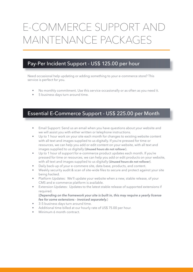### E-COMMERCE SUPPORT AND MAINTENANCE PACKAGES

### Pay-Per Incident Support - US\$ 125.00 per hour

Need occasional help updating or adding something to your e-commerce store? This service is perfect for you.

- No monthly commitment. Use this service occasionally or as often as you need it.
- 5 business days turn around time.

### Essential E-Commerce Support - US\$ 225.00 per Month

- Email Support: Send us an email when you have questions about your website and we will assist you with either written or telephone instructions.
- Up to 1 hour work on your site each month for changes to existing website content with all text and images supplied to us digitally. If you're pressed for time or resources, we can help you add or edit content on your website, with all text and images supplied to us digitally (*Unused hours do not rollover*).
- Up to 1 hour of support for e-commerce product updates each month. If you're pressed for time or resources, we can help you add or edit products on your website, with all text and images supplied to us digitally (*Unused hours do not rollover*).
- Daily back-up of your e-commere site, data base, products, and content.
- Weekly security audit & scan of site-wide files to secure and protect against your site being hacked.
- Platform Updates: We'll update your website when a new, stable release, of your CMS and e-commerce platform is available.
- Extension Updates: Updates to the latest stable release of supported extensions if required.

(*Depending on the framework your site is built in, this may require a yearly license fee for some extensions - invoiced separately.*)

- 3-5 business days turn around time.
- Additional time billed at our hourly rate of US\$ 75.00 per hour.
- Minimum 6 month contract.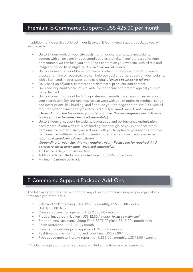### Premium E-Commerce Support - US\$ 425.00 per month

In addition to the services offered in our Essential E-Commerce Support package you will also receive:

- Up to 2 hours work on your site each month for changes to existing website content with all text and images supplied to us digitally. If you're pressed for time or resources, we can help you add or edit content on your website, with all text and images supplied to us digitally (*Unused hours do not rollover*).
- Up to 2 hours of support for e-commerce product updates each month. If you're pressed for time or resources, we can help you add or edit products on your website, with all text and images supplied to us digitally (*Unused hours do not rollover*).
- Daily back-up of your e-commere site, data base, products, and content
- Daily security audit & scan of site-wide files to secure and protect against your site being hacked.
- Up to 2 hours of support for SEO updates each month. If you are concerned about your search visibility and rankings we can work with you to optimize product listings and descriptions, link building, and fine-tune your on-page and on-site SEO, with all required text and images supplied to us digitally (*Unused hours do not rollover*). (*Depending on the framework your site is built in, this may require a yearly license fee for some extensions - invoiced separately.*)
- Up to 2 hours of support for website pagespeed and performance optimization each month. If your website is not loading fast enough, or you experience other performance related issues, we will work with you to optimize your images, remove performance bottlenecks, and implement other site performance strategies as required (*Unused hours do not rollover*).

(*Depending on your site, this may require a yearly license fee for required thirdparty services or extensions - invoiced separately.*)

- 1-3 business days turn around time.
- Additional time billed at discounted rate of US\$ 55.00 per hour.
- Minimum 6 month contract.

### E-Commerce Support Package Add-Ons

The following add-ons can be added to any of our e-commerce support packages at any time on a pro-rated basis.

- Sales and order tracking US\$ 125.00 / monthly, US\$ 325.00 weekly, US\$ 1,750.00 daily
- Complete store management US\$ 2,500.00 / month
- Product image optimization US\$ 12.50 / image (*10 image minimum*)\*
- Branded email accounts Setup Fee US\$ 75.00 plus US\$ 15.00 / month each.
- Spam protection US\$ 10.00 / month
- Comment monitoring and approval US\$ 75.00 / month.
- Real-time uptime monitoring and reporting US\$ 75.00 / month
- Page speed monitoring and reporting US\$ 5.00 / monthly, US\$ 15.00 / weekly

\* Product image optimization services are billed at the time service is provided.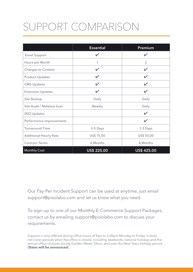## SUPPORT COMPARISON

|                               | <b>Essential</b>     | Premium              |
|-------------------------------|----------------------|----------------------|
| <b>Email Support</b>          | $\mathbf{v}$         | $\checkmark$         |
| Hours per Month               | 1                    | $\overline{2}$       |
| <b>Changes to Content</b>     | $\blacktriangledown$ | $\blacktriangledown$ |
| <b>Product Updates</b>        | $\mathbf{z}$         | V                    |
| <b>CMS Updates</b>            | V                    | V                    |
| <b>Extension Updates</b>      | $\mathbf{v}$         | V                    |
| Site Backup                   | Daily                | Daily                |
| Site Audit / Malware Scan     | Weekly               | Daily                |
| <b>SEO Updates</b>            |                      | $\boldsymbol{\nu}$   |
| Performance Improvements      |                      | V                    |
| <b>Turnaround Time</b>        | 3-5 Days             | 1-3 Days             |
| <b>Additional Hourly Rate</b> | US\$ 75.00           | US\$ 55.00           |
| <b>Contract Terms</b>         | 6 Months             | 6 Months             |
| <b>Monthly Cost</b>           | <b>US\$ 225.00</b>   | US\$ 425.00          |

Our Pay-Per Incident Support can be used at anytime, just email support@pixolabo.com and let us know what you need.

To sign-up to one of our Monthly E-Commerce Support Packages, contact us by emailing support@pixolabo.com to discuss your requirements.

Support is only offered during office hours of 9am to 5.00pm Monday to Friday. It does not cover periods when the office is closed, including weekends, national holidays and the annual office closures during Golden Week, Obon, and over the New Years Holiday period. (**Dates will be announced**).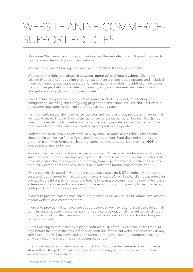## WEBSITE AND E-COMMERCE-SUPPORT POLICIES

We define "Maintenance and Support" as keeping the web site current. It is not intended to include a new design of your current website.

We maintain a current backup, and archive all submitted files for your website.

We reserve the right to distinguish between "**updates**" and "**new designs**". Changing existing images and/or updating existing text content are considered updates and included in our maintenance packages as stated. Changing the navigation, the adding of new pages, graphic changes, buttons, website functionality, etc., are considered new designs and charged accordingly to our hourly design rate.

IT and technical support services, such as domain and DNS support, email set-up and configuration, installing and configuring plugins and extensions, etc., are **NOT** included in our support packages, and billed at our regular hourly rate.

It is the client's responsibility to review updates and notify us of any necessary changes that we need to make. There will be no charge for any errors on our part. However, if a change needs to be made due to client error, the regular hourly update fees will be charged. Your rate is calculated on the total time involved in completing the updates.

Updates should be provided electronically (by email) as much as possible. Attachments should be in text format (.txt or Word .doc formats are fine). Send digitized pictures and graphics in common formats such as .jpg, .png, .ai, .psd, .eps, etc. Updates may **NOT** be sent by postal mail or by fax.

Your website may be using third-party extensions and/or services. We have no control over what third party sites do and take no responsibility for loss of information due to actions of these sites. Any changes to your site stemming from requirements and/or changes of these third party components and services will be billed at the normal maintenance rate.

Unless specifically stated in writing our support packages do **NOT** include any applicable costs and fees charged by third-party service providers. We will invoice clients separately for any applicable third-party charges and fees. Clients may also purchase their own third-party extensions or services and provide us with the extensions or functionality to be installed or configured for their site or e-commerce store.

In order to provide maintenance and support services we will require full admin level access to your website or e-commerce store.

In order to provide maintenance and support services we may require access to client email, domain registrar, search analytics, payment service provider, email marketing, social media or other accounts. In that case we will inform the client via email why and for how long such access is required.

Clients wishing to terminate any support contract must inform us via email no less than 30 days before the end of their current service contract. If the client website is hosted by us any service contract will be converted to the corresponding website or e-commerce hostingonly contact at the end of the current contract period.

Clients wishing to terminate a service contract and/or move their website or e-commerce store will be charged a website migration fee depending on the size and nature of their website or e-commerce store.